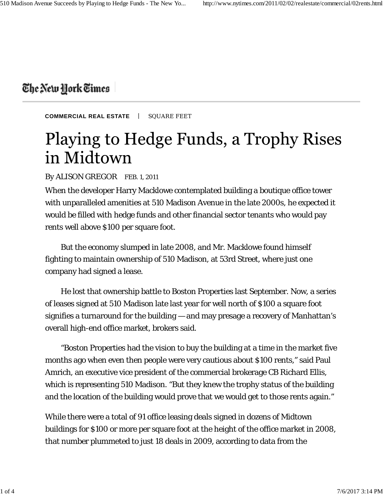## The New York Times

**COMMERCIAL REAL ESTATE** | SQUARE FEET

## Playing to Hedge Funds, a Trophy Rises in Midtown

By ALISON GREGOR FEB. 1, 2011

When the developer Harry Macklowe contemplated building a boutique office tower with unparalleled amenities at 510 Madison Avenue in the late 2000s, he expected it would be filled with hedge funds and other financial sector tenants who would pay rents well above \$100 per square foot.

But the economy slumped in late 2008, and Mr. Macklowe found himself fighting to maintain ownership of 510 Madison, at 53rd Street, where just one company had signed a lease.

He lost that ownership battle to Boston Properties last September. Now, a series of leases signed at 510 Madison late last year for well north of \$100 a square foot signifies a turnaround for the building — and may presage a recovery of Manhattan's overall high-end office market, brokers said.

"Boston Properties had the vision to buy the building at a time in the market five months ago when even then people were very cautious about \$100 rents," said Paul Amrich, an executive vice president of the commercial brokerage CB Richard Ellis, which is representing 510 Madison. "But they knew the trophy status of the building and the location of the building would prove that we would get to those rents again."

While there were a total of 91 office leasing deals signed in dozens of Midtown buildings for \$100 or more per square foot at the height of the office market in 2008, that number plummeted to just 18 deals in 2009, according to data from the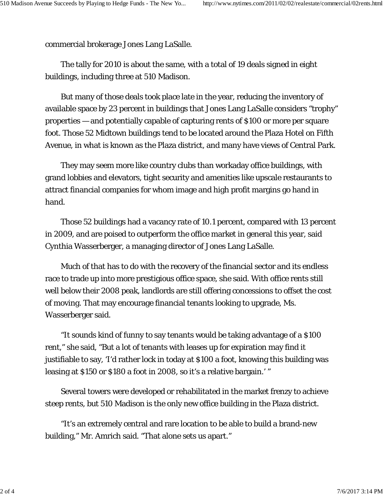commercial brokerage Jones Lang LaSalle.

The tally for 2010 is about the same, with a total of 19 deals signed in eight buildings, including three at 510 Madison.

But many of those deals took place late in the year, reducing the inventory of available space by 23 percent in buildings that Jones Lang LaSalle considers "trophy" properties — and potentially capable of capturing rents of \$100 or more per square foot. Those 52 Midtown buildings tend to be located around the Plaza Hotel on Fifth Avenue, in what is known as the Plaza district, and many have views of Central Park.

They may seem more like country clubs than workaday office buildings, with grand lobbies and elevators, tight security and amenities like upscale restaurants to attract financial companies for whom image and high profit margins go hand in hand.

Those 52 buildings had a vacancy rate of 10.1 percent, compared with 13 percent in 2009, and are poised to outperform the office market in general this year, said Cynthia Wasserberger, a managing director of Jones Lang LaSalle.

Much of that has to do with the recovery of the financial sector and its endless race to trade up into more prestigious office space, she said. With office rents still well below their 2008 peak, landlords are still offering concessions to offset the cost of moving. That may encourage financial tenants looking to upgrade, Ms. Wasserberger said.

"It sounds kind of funny to say tenants would be taking advantage of a \$100 rent," she said, "But a lot of tenants with leases up for expiration may find it justifiable to say, 'I'd rather lock in today at \$100 a foot, knowing this building was leasing at \$150 or \$180 a foot in 2008, so it's a relative bargain.' "

Several towers were developed or rehabilitated in the market frenzy to achieve steep rents, but 510 Madison is the only new office building in the Plaza district.

"It's an extremely central and rare location to be able to build a brand-new building," Mr. Amrich said. "That alone sets us apart."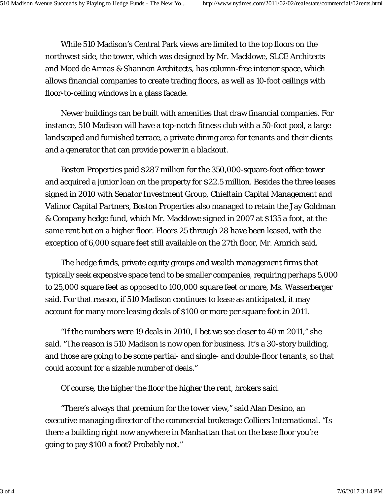While 510 Madison's Central Park views are limited to the top floors on the northwest side, the tower, which was designed by Mr. Macklowe, SLCE Architects and Moed de Armas & Shannon Architects, has column-free interior space, which allows financial companies to create trading floors, as well as 10-foot ceilings with floor-to-ceiling windows in a glass facade.

Newer buildings can be built with amenities that draw financial companies. For instance, 510 Madison will have a top-notch fitness club with a 50-foot pool, a large landscaped and furnished terrace, a private dining area for tenants and their clients and a generator that can provide power in a blackout.

Boston Properties paid \$287 million for the 350,000-square-foot office tower and acquired a junior loan on the property for \$22.5 million. Besides the three leases signed in 2010 with Senator Investment Group, Chieftain Capital Management and Valinor Capital Partners, Boston Properties also managed to retain the Jay Goldman & Company hedge fund, which Mr. Macklowe signed in 2007 at \$135 a foot, at the same rent but on a higher floor. Floors 25 through 28 have been leased, with the exception of 6,000 square feet still available on the 27th floor, Mr. Amrich said.

The hedge funds, private equity groups and wealth management firms that typically seek expensive space tend to be smaller companies, requiring perhaps 5,000 to 25,000 square feet as opposed to 100,000 square feet or more, Ms. Wasserberger said. For that reason, if 510 Madison continues to lease as anticipated, it may account for many more leasing deals of \$100 or more per square foot in 2011.

"If the numbers were 19 deals in 2010, I bet we see closer to 40 in 2011," she said. "The reason is 510 Madison is now open for business. It's a 30-story building, and those are going to be some partial- and single- and double-floor tenants, so that could account for a sizable number of deals."

Of course, the higher the floor the higher the rent, brokers said.

"There's always that premium for the tower view," said Alan Desino, an executive managing director of the commercial brokerage Colliers International. "Is there a building right now anywhere in Manhattan that on the base floor you're going to pay \$100 a foot? Probably not."